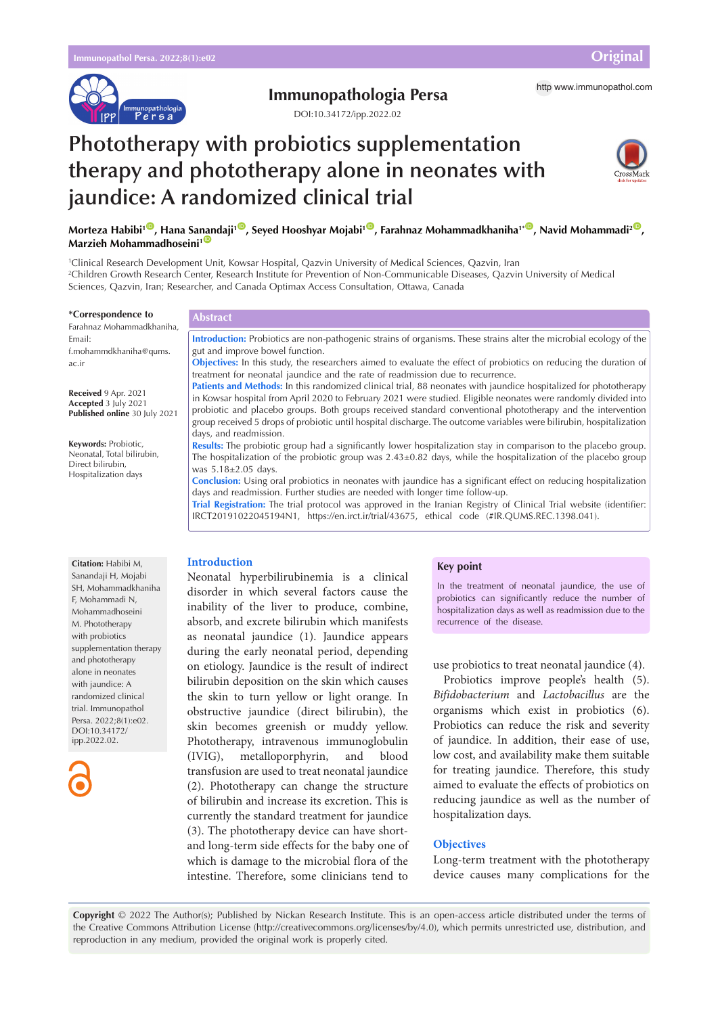

# **Immunopathologia Persa** http [www.immunopathol.com](http://www.immunopathol.com)

DOI[:10.34172/ipp.2022.02](https://doi.org/10.34172/ipp.2022.02)

# **Phototherapy with probiotics supplementation therapy and phototherapy alone in neonates with jaundice: A randomized clinical trial**



Morteza Habibi'<sup>®</sup>, Hana Sa[nan](https://orcid.org/0000-0003-0858-5931)daji'®, Seyed Hooshyar Mojabi'<sup>®</sup>, Farahnaz Mohammadkhaniha''<sup>®</sup>, Navid Mohammadi<sup>2®</sup>, **Marzieh Mohammadhoseini<sup>1</sup>** 

1 Clinical Research Development Unit, Kowsar Hospital, Qazvin University of Medical Sciences, Qazvin, Iran 2 Children Growth Research Center, Research Institute for Prevention of Non-Communicable Diseases, Qazvin University of Medical Sciences, Qazvin, Iran; Researcher, and Canada Optimax Access Consultation, Ottawa, Canada

#### **\*Correspondence to**

Farahnaz Mohammadkhaniha, Email: f.mohammdkhaniha@qums. ac.ir

**Received** 9 Apr. 2021 **Accepted** 3 July 2021 **Published online** 30 July 2021

**Keywords:** Probiotic, Neonatal, Total bilirubin, Direct bilirubin, Hospitalization days

**Introduction:** Probiotics are non-pathogenic strains of organisms. These strains alter the microbial ecology of the gut and improve bowel function.

**Objectives:** In this study, the researchers aimed to evaluate the effect of probiotics on reducing the duration of treatment for neonatal jaundice and the rate of readmission due to recurrence.

**Patients and Methods:** In this randomized clinical trial, 88 neonates with jaundice hospitalized for phototherapy in Kowsar hospital from April 2020 to February 2021 were studied. Eligible neonates were randomly divided into probiotic and placebo groups. Both groups received standard conventional phototherapy and the intervention group received 5 drops of probiotic until hospital discharge. The outcome variables were bilirubin, hospitalization days, and readmission.

**Results:** The probiotic group had a significantly lower hospitalization stay in comparison to the placebo group. The hospitalization of the probiotic group was 2.43±0.82 days, while the hospitalization of the placebo group was 5.18±2.05 days.

**Conclusion:** Using oral probiotics in neonates with jaundice has a significant effect on reducing hospitalization days and readmission. Further studies are needed with longer time follow-up.

**Trial Registration:** The trial protocol was approved in the Iranian Registry of Clinical Trial website (identifier: IRCT20191022045194N1, [https://en.irct.ir/trial/43675,](https://en.irct.ir/trial/43675) ethical code (#IR.QUMS.REC.1398.041).

#### **Citation:** Habibi M, Sanandaii H, Mojabi SH, Mohammadkhaniha F, Mohammadi N, Mohammadhoseini M. Phototherapy with probiotics supplementation therapy and phototherapy alone in neonates with jaundice: A randomized clinical trial. Immunopathol Persa. 2022;8(1):e02. DOI:10.34172/ ipp.2022.02.



**Introduction**

**Abstract**

Neonatal hyperbilirubinemia is a clinical disorder in which several factors cause the inability of the liver to produce, combine, absorb, and excrete bilirubin which manifests as neonatal jaundice (1). Jaundice appears during the early neonatal period, depending on etiology. Jaundice is the result of indirect bilirubin deposition on the skin which causes the skin to turn yellow or light orange. In obstructive jaundice (direct bilirubin), the skin becomes greenish or muddy yellow. Phototherapy, intravenous immunoglobulin (IVIG), metalloporphyrin, and blood transfusion are used to treat neonatal jaundice (2). Phototherapy can change the structure of bilirubin and increase its excretion. This is currently the standard treatment for jaundice (3). The phototherapy device can have shortand long-term side effects for the baby one of which is damage to the microbial flora of the intestine. Therefore, some clinicians tend to

### **Key point**

In the treatment of neonatal jaundice, the use of probiotics can significantly reduce the number of hospitalization days as well as readmission due to the recurrence of the disease.

use probiotics to treat neonatal jaundice (4).

Probiotics improve people's health (5). *Bifidobacterium* and *Lactobacillus* are the organisms which exist in probiotics (6). Probiotics can reduce the risk and severity of jaundice. In addition, their ease of use, low cost, and availability make them suitable for treating jaundice. Therefore, this study aimed to evaluate the effects of probiotics on reducing jaundice as well as the number of hospitalization days.

# **Objectives**

Long-term treatment with the phototherapy device causes many complications for the

**Copyright** © 2022 The Author(s); Published by Nickan Research Institute. This is an open-access article distributed under the terms of the Creative Commons Attribution License (http://creativecommons.org/licenses/by/4.0), which permits unrestricted use, distribution, and reproduction in any medium, provided the original work is properly cited.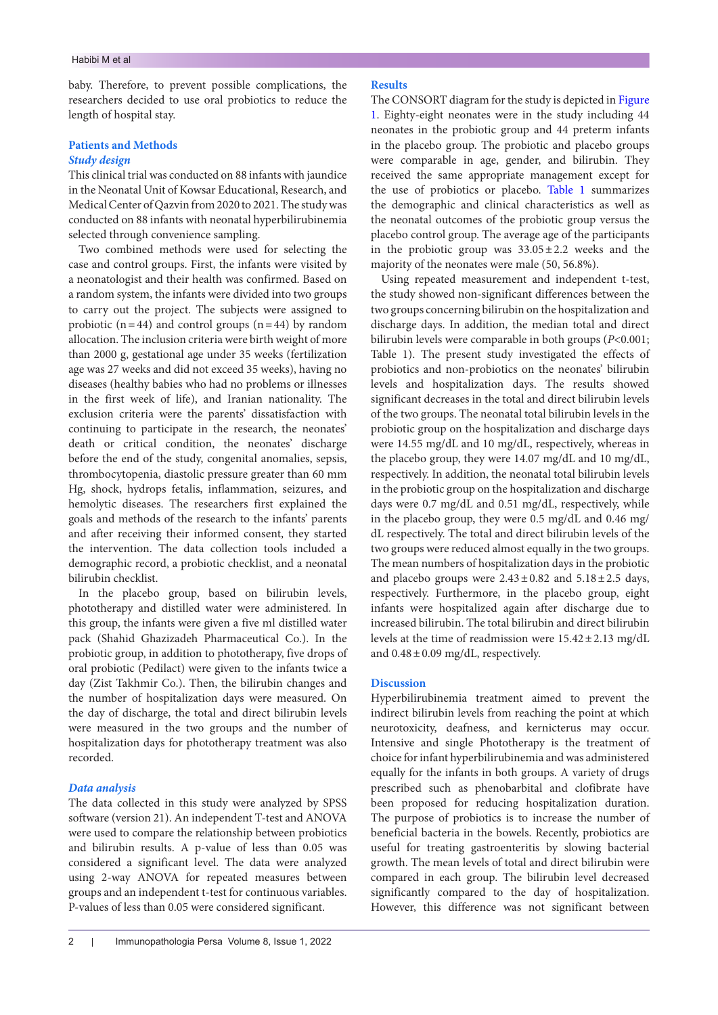baby. Therefore, to prevent possible complications, the researchers decided to use oral probiotics to reduce the length of hospital stay.

# **Patients and Methods** *Study design*

This clinical trial was conducted on 88 infants with jaundice in the Neonatal Unit of Kowsar Educational, Research, and Medical Center of Qazvin from 2020 to 2021. The study was conducted on 88 infants with neonatal hyperbilirubinemia selected through convenience sampling.

Two combined methods were used for selecting the case and control groups. First, the infants were visited by a neonatologist and their health was confirmed. Based on a random system, the infants were divided into two groups to carry out the project. The subjects were assigned to probiotic ( $n=44$ ) and control groups ( $n=44$ ) by random allocation. The inclusion criteria were birth weight of more than 2000 g, gestational age under 35 weeks (fertilization age was 27 weeks and did not exceed 35 weeks), having no diseases (healthy babies who had no problems or illnesses in the first week of life), and Iranian nationality. The exclusion criteria were the parents' dissatisfaction with continuing to participate in the research, the neonates' death or critical condition, the neonates' discharge before the end of the study, congenital anomalies, sepsis, thrombocytopenia, diastolic pressure greater than 60 mm Hg, shock, hydrops fetalis, inflammation, seizures, and hemolytic diseases. The researchers first explained the goals and methods of the research to the infants' parents and after receiving their informed consent, they started the intervention. The data collection tools included a demographic record, a probiotic checklist, and a neonatal bilirubin checklist.

In the placebo group, based on bilirubin levels, phototherapy and distilled water were administered. In this group, the infants were given a five ml distilled water pack (Shahid Ghazizadeh Pharmaceutical Co.). In the probiotic group, in addition to phototherapy, five drops of oral probiotic (Pedilact) were given to the infants twice a day (Zist Takhmir Co.). Then, the bilirubin changes and the number of hospitalization days were measured. On the day of discharge, the total and direct bilirubin levels were measured in the two groups and the number of hospitalization days for phototherapy treatment was also recorded.

# *Data analysis*

The data collected in this study were analyzed by SPSS software (version 21). An independent T-test and ANOVA were used to compare the relationship between probiotics and bilirubin results. A p-value of less than 0.05 was considered a significant level. The data were analyzed using 2-way ANOVA for repeated measures between groups and an independent t-test for continuous variables. P-values of less than 0.05 were considered significant.

# **Results**

The CONSORT diagram for the study is depicted in [Figure](#page-2-0)  [1](#page-2-0). Eighty-eight neonates were in the study including 44 neonates in the probiotic group and 44 preterm infants in the placebo group. The probiotic and placebo groups were comparable in age, gender, and bilirubin. They received the same appropriate management except for the use of probiotics or placebo. [Table 1](#page-2-1) summarizes the demographic and clinical characteristics as well as the neonatal outcomes of the probiotic group versus the placebo control group. The average age of the participants in the probiotic group was  $33.05 \pm 2.2$  weeks and the majority of the neonates were male (50, 56.8%).

Using repeated measurement and independent t-test, the study showed non-significant differences between the two groups concerning bilirubin on the hospitalization and discharge days. In addition, the median total and direct bilirubin levels were comparable in both groups (*P*<0.001; [Table 1\)](#page-2-1). The present study investigated the effects of probiotics and non-probiotics on the neonates' bilirubin levels and hospitalization days. The results showed significant decreases in the total and direct bilirubin levels of the two groups. The neonatal total bilirubin levels in the probiotic group on the hospitalization and discharge days were 14.55 mg/dL and 10 mg/dL, respectively, whereas in the placebo group, they were 14.07 mg/dL and 10 mg/dL, respectively. In addition, the neonatal total bilirubin levels in the probiotic group on the hospitalization and discharge days were 0.7 mg/dL and 0.51 mg/dL, respectively, while in the placebo group, they were 0.5 mg/dL and 0.46 mg/ dL respectively. The total and direct bilirubin levels of the two groups were reduced almost equally in the two groups. The mean numbers of hospitalization days in the probiotic and placebo groups were  $2.43 \pm 0.82$  and  $5.18 \pm 2.5$  days, respectively. Furthermore, in the placebo group, eight infants were hospitalized again after discharge due to increased bilirubin. The total bilirubin and direct bilirubin levels at the time of readmission were 15.42±2.13 mg/dL and  $0.48 \pm 0.09$  mg/dL, respectively.

# **Discussion**

Hyperbilirubinemia treatment aimed to prevent the indirect bilirubin levels from reaching the point at which neurotoxicity, deafness, and kernicterus may occur. Intensive and single Phototherapy is the treatment of choice for infant hyperbilirubinemia and was administered equally for the infants in both groups. A variety of drugs prescribed such as phenobarbital and clofibrate have been proposed for reducing hospitalization duration. The purpose of probiotics is to increase the number of beneficial bacteria in the bowels. Recently, probiotics are useful for treating gastroenteritis by slowing bacterial growth. The mean levels of total and direct bilirubin were compared in each group. The bilirubin level decreased significantly compared to the day of hospitalization. However, this difference was not significant between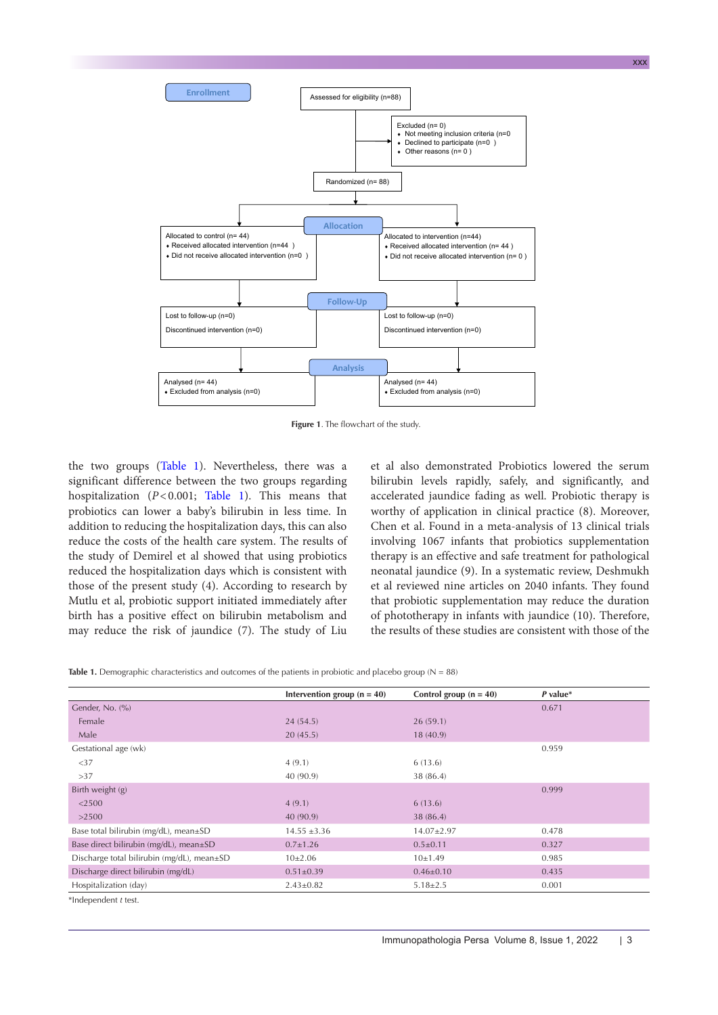<span id="page-2-0"></span>

**Figure 1**. The flowchart of the study.

the two groups [\(Table 1](#page-2-1)). Nevertheless, there was a significant difference between the two groups regarding hospitalization (*P*<0.001; [Table 1\)](#page-2-1). This means that probiotics can lower a baby's bilirubin in less time. In addition to reducing the hospitalization days, this can also reduce the costs of the health care system. The results of the study of Demirel et al showed that using probiotics reduced the hospitalization days which is consistent with those of the present study (4). According to research by Mutlu et al, probiotic support initiated immediately after birth has a positive effect on bilirubin metabolism and may reduce the risk of jaundice (7). The study of Liu

et al also demonstrated Probiotics lowered the serum bilirubin levels rapidly, safely, and significantly, and accelerated jaundice fading as well. Probiotic therapy is worthy of application in clinical practice (8). Moreover, Chen et al. Found in a meta-analysis of 13 clinical trials involving 1067 infants that probiotics supplementation therapy is an effective and safe treatment for pathological neonatal jaundice (9). In a systematic review, Deshmukh et al reviewed nine articles on 2040 infants. They found that probiotic supplementation may reduce the duration of phototherapy in infants with jaundice (10). Therefore, the results of these studies are consistent with those of the

```
Table 1. Demographic characteristics and outcomes of the patients in probiotic and placebo group (N = 88)
```

|                                            | Intervention group $(n = 40)$ | Control group $(n = 40)$ | $P$ value* |
|--------------------------------------------|-------------------------------|--------------------------|------------|
| Gender, No. (%)                            |                               |                          | 0.671      |
| Female                                     | 24(54.5)                      | 26(59.1)                 |            |
| Male                                       | 20(45.5)                      | 18(40.9)                 |            |
| Gestational age (wk)                       |                               |                          | 0.959      |
| <37                                        | 4(9.1)                        | 6(13.6)                  |            |
| >37                                        | 40 (90.9)                     | 38 (86.4)                |            |
| Birth weight (g)                           |                               |                          | 0.999      |
| $<$ 2500                                   | 4(9.1)                        | 6(13.6)                  |            |
| >2500                                      | 40 (90.9)                     | 38 (86.4)                |            |
| Base total bilirubin (mg/dL), mean±SD      | $14.55 \pm 3.36$              | $14.07 \pm 2.97$         | 0.478      |
| Base direct bilirubin (mg/dL), mean±SD     | $0.7 \pm 1.26$                | $0.5 \pm 0.11$           | 0.327      |
| Discharge total bilirubin (mg/dL), mean±SD | $10\pm2.06$                   | 10±1.49                  | 0.985      |
| Discharge direct bilirubin (mg/dL)         | $0.51 \pm 0.39$               | $0.46 \pm 0.10$          | 0.435      |
| Hospitalization (day)                      | $2.43 \pm 0.82$               | $5.18 \pm 2.5$           | 0.001      |
| *Independent t test.                       |                               |                          |            |